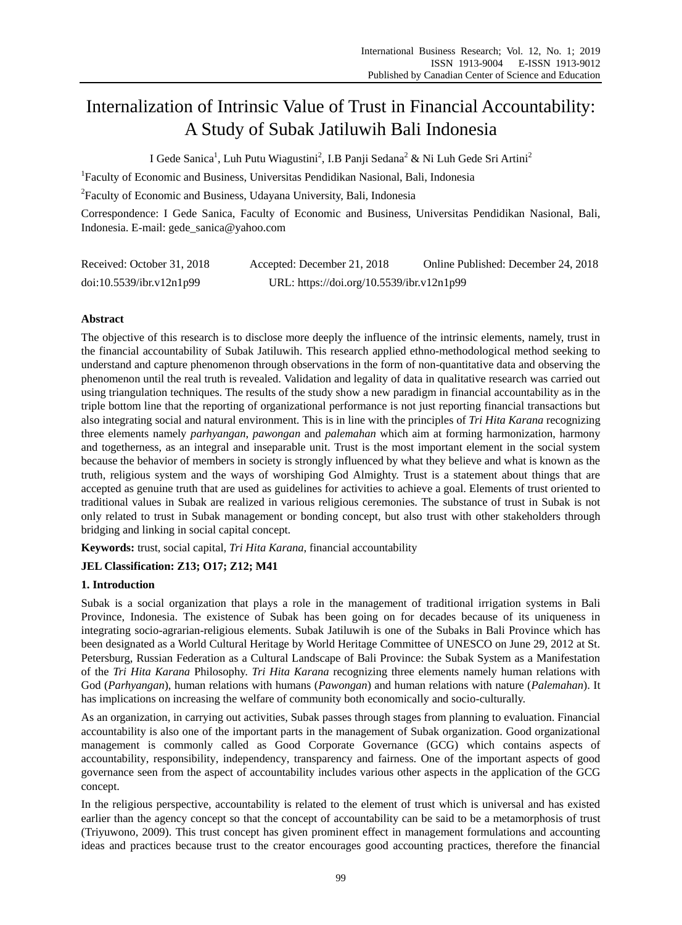# Internalization of Intrinsic Value of Trust in Financial Accountability: A Study of Subak Jatiluwih Bali Indonesia

I Gede Sanica<sup>1</sup>, Luh Putu Wiagustini<sup>2</sup>, I.B Panji Sedana<sup>2</sup> & Ni Luh Gede Sri Artini<sup>2</sup>

<sup>1</sup>Faculty of Economic and Business, Universitas Pendidikan Nasional, Bali, Indonesia

<sup>2</sup> Faculty of Economic and Business, Udayana University, Bali, Indonesia

Correspondence: I Gede Sanica, Faculty of Economic and Business, Universitas Pendidikan Nasional, Bali, Indonesia. E-mail: gede\_sanica@yahoo.com

| Received: October 31, 2018 | Accepted: December 21, 2018               | Online Published: December 24, 2018 |
|----------------------------|-------------------------------------------|-------------------------------------|
| doi:10.5539/ibr.v12n1p99   | URL: https://doi.org/10.5539/ibr.v12n1p99 |                                     |

# **Abstract**

The objective of this research is to disclose more deeply the influence of the intrinsic elements, namely, trust in the financial accountability of Subak Jatiluwih. This research applied ethno-methodological method seeking to understand and capture phenomenon through observations in the form of non-quantitative data and observing the phenomenon until the real truth is revealed. Validation and legality of data in qualitative research was carried out using triangulation techniques. The results of the study show a new paradigm in financial accountability as in the triple bottom line that the reporting of organizational performance is not just reporting financial transactions but also integrating social and natural environment. This is in line with the principles of *Tri Hita Karana* recognizing three elements namely *parhyangan*, *pawongan* and *palemahan* which aim at forming harmonization, harmony and togetherness, as an integral and inseparable unit. Trust is the most important element in the social system because the behavior of members in society is strongly influenced by what they believe and what is known as the truth, religious system and the ways of worshiping God Almighty. Trust is a statement about things that are accepted as genuine truth that are used as guidelines for activities to achieve a goal. Elements of trust oriented to traditional values in Subak are realized in various religious ceremonies. The substance of trust in Subak is not only related to trust in Subak management or bonding concept, but also trust with other stakeholders through bridging and linking in social capital concept.

**Keywords:** trust, social capital, *Tri Hita Karana*, financial accountability

# **JEL Classification: Z13; O17; Z12; M41**

# **1. Introduction**

Subak is a social organization that plays a role in the management of traditional irrigation systems in Bali Province, Indonesia. The existence of Subak has been going on for decades because of its uniqueness in integrating socio-agrarian-religious elements. Subak Jatiluwih is one of the Subaks in Bali Province which has been designated as a World Cultural Heritage by World Heritage Committee of UNESCO on June 29, 2012 at St. Petersburg, Russian Federation as a Cultural Landscape of Bali Province: the Subak System as a Manifestation of the *Tri Hita Karana* Philosophy. *Tri Hita Karana* recognizing three elements namely human relations with God (*Parhyangan*), human relations with humans (*Pawongan*) and human relations with nature (*Palemahan*). It has implications on increasing the welfare of community both economically and socio-culturally.

As an organization, in carrying out activities, Subak passes through stages from planning to evaluation. Financial accountability is also one of the important parts in the management of Subak organization. Good organizational management is commonly called as Good Corporate Governance (GCG) which contains aspects of accountability, responsibility, independency, transparency and fairness. One of the important aspects of good governance seen from the aspect of accountability includes various other aspects in the application of the GCG concept.

In the religious perspective, accountability is related to the element of trust which is universal and has existed earlier than the agency concept so that the concept of accountability can be said to be a metamorphosis of trust (Triyuwono, 2009). This trust concept has given prominent effect in management formulations and accounting ideas and practices because trust to the creator encourages good accounting practices, therefore the financial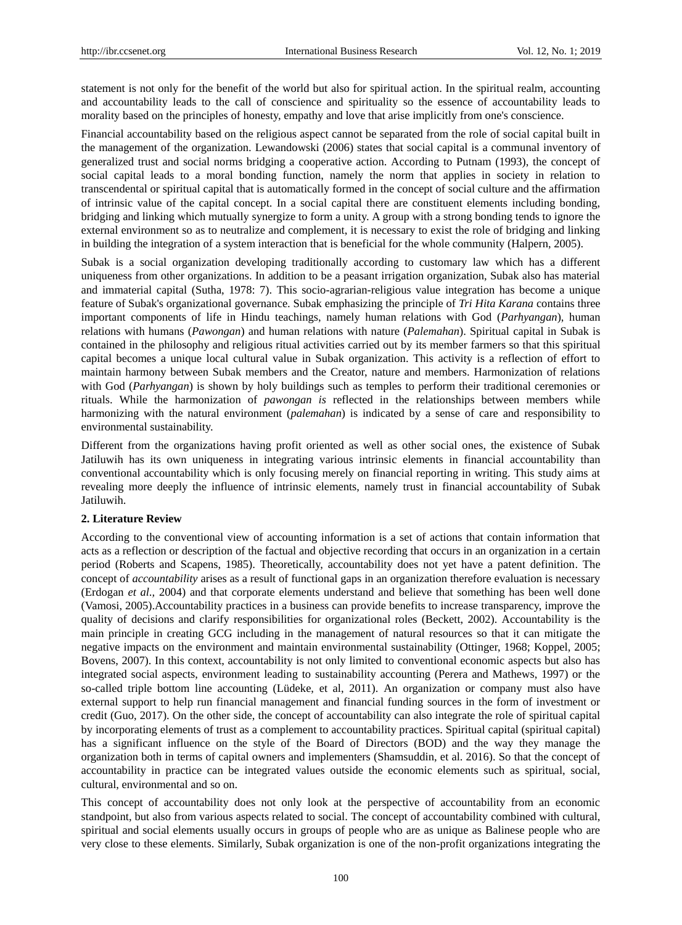statement is not only for the benefit of the world but also for spiritual action. In the spiritual realm, accounting and accountability leads to the call of conscience and spirituality so the essence of accountability leads to morality based on the principles of honesty, empathy and love that arise implicitly from one's conscience.

Financial accountability based on the religious aspect cannot be separated from the role of social capital built in the management of the organization. Lewandowski (2006) states that social capital is a communal inventory of generalized trust and social norms bridging a cooperative action. According to Putnam (1993), the concept of social capital leads to a moral bonding function, namely the norm that applies in society in relation to transcendental or spiritual capital that is automatically formed in the concept of social culture and the affirmation of intrinsic value of the capital concept. In a social capital there are constituent elements including bonding, bridging and linking which mutually synergize to form a unity. A group with a strong bonding tends to ignore the external environment so as to neutralize and complement, it is necessary to exist the role of bridging and linking in building the integration of a system interaction that is beneficial for the whole community (Halpern, 2005).

Subak is a social organization developing traditionally according to customary law which has a different uniqueness from other organizations. In addition to be a peasant irrigation organization, Subak also has material and immaterial capital (Sutha, 1978: 7). This socio-agrarian-religious value integration has become a unique feature of Subak's organizational governance. Subak emphasizing the principle of *Tri Hita Karana* contains three important components of life in Hindu teachings, namely human relations with God (*Parhyangan*), human relations with humans (*Pawongan*) and human relations with nature (*Palemahan*). Spiritual capital in Subak is contained in the philosophy and religious ritual activities carried out by its member farmers so that this spiritual capital becomes a unique local cultural value in Subak organization. This activity is a reflection of effort to maintain harmony between Subak members and the Creator, nature and members. Harmonization of relations with God (*Parhyangan*) is shown by holy buildings such as temples to perform their traditional ceremonies or rituals. While the harmonization of *pawongan is* reflected in the relationships between members while harmonizing with the natural environment (*palemahan*) is indicated by a sense of care and responsibility to environmental sustainability.

Different from the organizations having profit oriented as well as other social ones, the existence of Subak Jatiluwih has its own uniqueness in integrating various intrinsic elements in financial accountability than conventional accountability which is only focusing merely on financial reporting in writing. This study aims at revealing more deeply the influence of intrinsic elements, namely trust in financial accountability of Subak Jatiluwih.

#### **2. Literature Review**

According to the conventional view of accounting information is a set of actions that contain information that acts as a reflection or description of the factual and objective recording that occurs in an organization in a certain period (Roberts and Scapens, 1985). Theoretically, accountability does not yet have a patent definition. The concept of *accountability* arises as a result of functional gaps in an organization therefore evaluation is necessary (Erdogan *et al*.*,* 2004) and that corporate elements understand and believe that something has been well done (Vamosi, 2005).Accountability practices in a business can provide benefits to increase transparency, improve the quality of decisions and clarify responsibilities for organizational roles (Beckett, 2002). Accountability is the main principle in creating GCG including in the management of natural resources so that it can mitigate the negative impacts on the environment and maintain environmental sustainability (Ottinger, 1968; Koppel, 2005; Bovens, 2007). In this context, accountability is not only limited to conventional economic aspects but also has integrated social aspects, environment leading to sustainability accounting (Perera and Mathews, 1997) or the so-called triple bottom line accounting (Lüdeke, et al, 2011). An organization or company must also have external support to help run financial management and financial funding sources in the form of investment or credit (Guo, 2017). On the other side, the concept of accountability can also integrate the role of spiritual capital by incorporating elements of trust as a complement to accountability practices. Spiritual capital (spiritual capital) has a significant influence on the style of the Board of Directors (BOD) and the way they manage the organization both in terms of capital owners and implementers (Shamsuddin, et al. 2016). So that the concept of accountability in practice can be integrated values outside the economic elements such as spiritual, social, cultural, environmental and so on.

This concept of accountability does not only look at the perspective of accountability from an economic standpoint, but also from various aspects related to social. The concept of accountability combined with cultural, spiritual and social elements usually occurs in groups of people who are as unique as Balinese people who are very close to these elements. Similarly, Subak organization is one of the non-profit organizations integrating the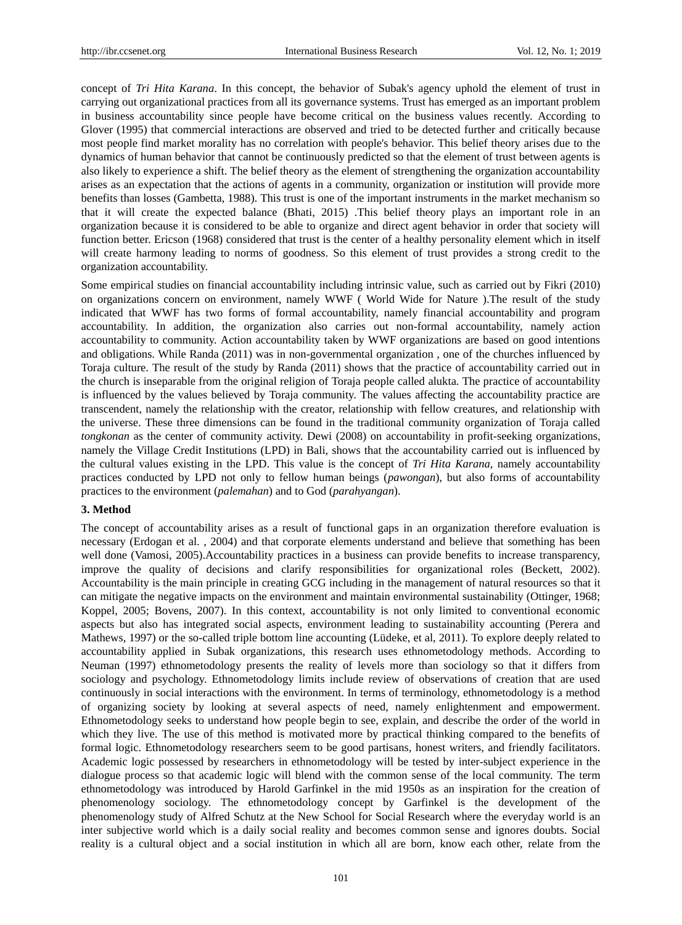concept of *Tri Hita Karana*. In this concept, the behavior of Subak's agency uphold the element of trust in carrying out organizational practices from all its governance systems. Trust has emerged as an important problem in business accountability since people have become critical on the business values recently. According to Glover (1995) that commercial interactions are observed and tried to be detected further and critically because most people find market morality has no correlation with people's behavior. This belief theory arises due to the dynamics of human behavior that cannot be continuously predicted so that the element of trust between agents is also likely to experience a shift. The belief theory as the element of strengthening the organization accountability arises as an expectation that the actions of agents in a community, organization or institution will provide more benefits than losses (Gambetta, 1988). This trust is one of the important instruments in the market mechanism so that it will create the expected balance (Bhati, 2015) .This belief theory plays an important role in an organization because it is considered to be able to organize and direct agent behavior in order that society will function better. Ericson (1968) considered that trust is the center of a healthy personality element which in itself will create harmony leading to norms of goodness. So this element of trust provides a strong credit to the organization accountability.

Some empirical studies on financial accountability including intrinsic value, such as carried out by Fikri (2010) on organizations concern on environment, namely WWF ( World Wide for Nature ).The result of the study indicated that WWF has two forms of formal accountability, namely financial accountability and program accountability. In addition, the organization also carries out non-formal accountability, namely action accountability to community. Action accountability taken by WWF organizations are based on good intentions and obligations. While Randa (2011) was in non-governmental organization , one of the churches influenced by Toraja culture. The result of the study by Randa (2011) shows that the practice of accountability carried out in the church is inseparable from the original religion of Toraja people called alukta. The practice of accountability is influenced by the values believed by Toraja community. The values affecting the accountability practice are transcendent, namely the relationship with the creator, relationship with fellow creatures, and relationship with the universe. These three dimensions can be found in the traditional community organization of Toraja called *tongkonan* as the center of community activity. Dewi (2008) on accountability in profit-seeking organizations, namely the Village Credit Institutions (LPD) in Bali, shows that the accountability carried out is influenced by the cultural values existing in the LPD. This value is the concept of *Tri Hita Karana,* namely accountability practices conducted by LPD not only to fellow human beings (*pawongan*), but also forms of accountability practices to the environment (*palemahan*) and to God (*parahyangan*).

#### **3. Method**

The concept of accountability arises as a result of functional gaps in an organization therefore evaluation is necessary (Erdogan et al. , 2004) and that corporate elements understand and believe that something has been well done (Vamosi, 2005).Accountability practices in a business can provide benefits to increase transparency, improve the quality of decisions and clarify responsibilities for organizational roles (Beckett, 2002). Accountability is the main principle in creating GCG including in the management of natural resources so that it can mitigate the negative impacts on the environment and maintain environmental sustainability (Ottinger, 1968; Koppel, 2005; Bovens, 2007). In this context, accountability is not only limited to conventional economic aspects but also has integrated social aspects, environment leading to sustainability accounting (Perera and Mathews, 1997) or the so-called triple bottom line accounting (Lüdeke, et al, 2011). To explore deeply related to accountability applied in Subak organizations, this research uses ethnometodology methods. According to Neuman (1997) ethnometodology presents the reality of levels more than sociology so that it differs from sociology and psychology. Ethnometodology limits include review of observations of creation that are used continuously in social interactions with the environment. In terms of terminology, ethnometodology is a method of organizing society by looking at several aspects of need, namely enlightenment and empowerment. Ethnometodology seeks to understand how people begin to see, explain, and describe the order of the world in which they live. The use of this method is motivated more by practical thinking compared to the benefits of formal logic. Ethnometodology researchers seem to be good partisans, honest writers, and friendly facilitators. Academic logic possessed by researchers in ethnometodology will be tested by inter-subject experience in the dialogue process so that academic logic will blend with the common sense of the local community. The term ethnometodology was introduced by Harold Garfinkel in the mid 1950s as an inspiration for the creation of phenomenology sociology. The ethnometodology concept by Garfinkel is the development of the phenomenology study of Alfred Schutz at the New School for Social Research where the everyday world is an inter subjective world which is a daily social reality and becomes common sense and ignores doubts. Social reality is a cultural object and a social institution in which all are born, know each other, relate from the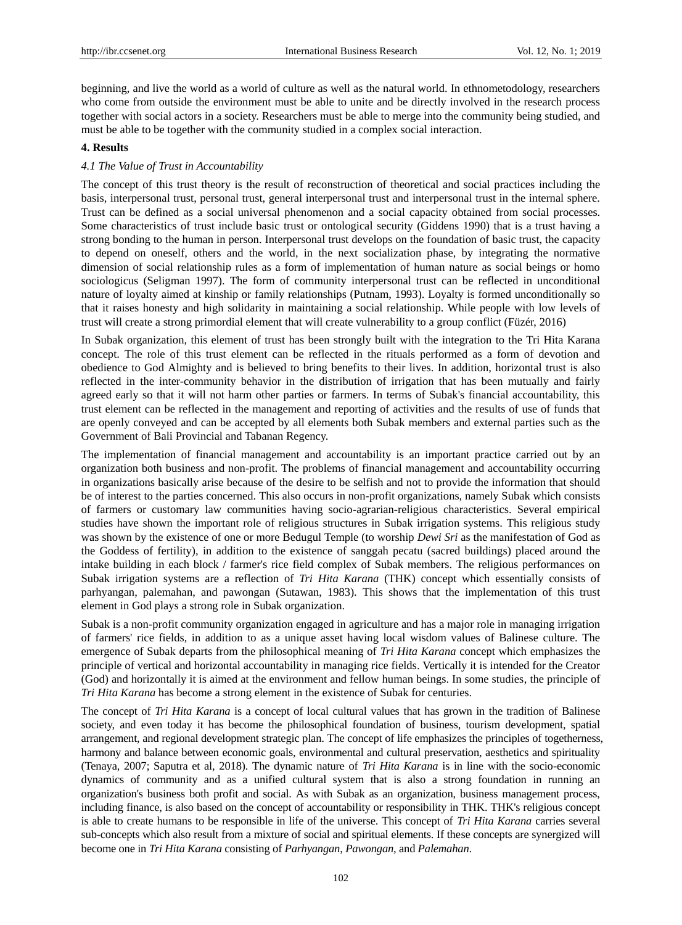beginning, and live the world as a world of culture as well as the natural world. In ethnometodology, researchers who come from outside the environment must be able to unite and be directly involved in the research process together with social actors in a society. Researchers must be able to merge into the community being studied, and must be able to be together with the community studied in a complex social interaction.

## **4. Results**

#### *4.1 The Value of Trust in Accountability*

The concept of this trust theory is the result of reconstruction of theoretical and social practices including the basis, interpersonal trust, personal trust, general interpersonal trust and interpersonal trust in the internal sphere. Trust can be defined as a social universal phenomenon and a social capacity obtained from social processes. Some characteristics of trust include basic trust or ontological security (Giddens 1990) that is a trust having a strong bonding to the human in person. Interpersonal trust develops on the foundation of basic trust, the capacity to depend on oneself, others and the world, in the next socialization phase, by integrating the normative dimension of social relationship rules as a form of implementation of human nature as social beings or homo sociologicus (Seligman 1997). The form of community interpersonal trust can be reflected in unconditional nature of loyalty aimed at kinship or family relationships (Putnam, 1993). Loyalty is formed unconditionally so that it raises honesty and high solidarity in maintaining a social relationship. While people with low levels of trust will create a strong primordial element that will create vulnerability to a group conflict (Füzér, 2016)

In Subak organization, this element of trust has been strongly built with the integration to the Tri Hita Karana concept. The role of this trust element can be reflected in the rituals performed as a form of devotion and obedience to God Almighty and is believed to bring benefits to their lives. In addition, horizontal trust is also reflected in the inter-community behavior in the distribution of irrigation that has been mutually and fairly agreed early so that it will not harm other parties or farmers. In terms of Subak's financial accountability, this trust element can be reflected in the management and reporting of activities and the results of use of funds that are openly conveyed and can be accepted by all elements both Subak members and external parties such as the Government of Bali Provincial and Tabanan Regency.

The implementation of financial management and accountability is an important practice carried out by an organization both business and non-profit. The problems of financial management and accountability occurring in organizations basically arise because of the desire to be selfish and not to provide the information that should be of interest to the parties concerned. This also occurs in non-profit organizations, namely Subak which consists of farmers or customary law communities having socio-agrarian-religious characteristics. Several empirical studies have shown the important role of religious structures in Subak irrigation systems. This religious study was shown by the existence of one or more Bedugul Temple (to worship *Dewi Sri* as the manifestation of God as the Goddess of fertility), in addition to the existence of sanggah pecatu (sacred buildings) placed around the intake building in each block / farmer's rice field complex of Subak members. The religious performances on Subak irrigation systems are a reflection of *Tri Hita Karana* (THK) concept which essentially consists of parhyangan, palemahan, and pawongan (Sutawan, 1983). This shows that the implementation of this trust element in God plays a strong role in Subak organization.

Subak is a non-profit community organization engaged in agriculture and has a major role in managing irrigation of farmers' rice fields, in addition to as a unique asset having local wisdom values of Balinese culture. The emergence of Subak departs from the philosophical meaning of *Tri Hita Karana* concept which emphasizes the principle of vertical and horizontal accountability in managing rice fields. Vertically it is intended for the Creator (God) and horizontally it is aimed at the environment and fellow human beings. In some studies, the principle of *Tri Hita Karana* has become a strong element in the existence of Subak for centuries.

The concept of *Tri Hita Karana* is a concept of local cultural values that has grown in the tradition of Balinese society, and even today it has become the philosophical foundation of business, tourism development, spatial arrangement, and regional development strategic plan. The concept of life emphasizes the principles of togetherness, harmony and balance between economic goals, environmental and cultural preservation, aesthetics and spirituality (Tenaya, 2007; Saputra et al, 2018). The dynamic nature of *Tri Hita Karana* is in line with the socio-economic dynamics of community and as a unified cultural system that is also a strong foundation in running an organization's business both profit and social. As with Subak as an organization, business management process, including finance, is also based on the concept of accountability or responsibility in THK. THK's religious concept is able to create humans to be responsible in life of the universe. This concept of *Tri Hita Karana* carries several sub-concepts which also result from a mixture of social and spiritual elements. If these concepts are synergized will become one in *Tri Hita Karana* consisting of *Parhyangan*, *Pawongan*, and *Palemahan*.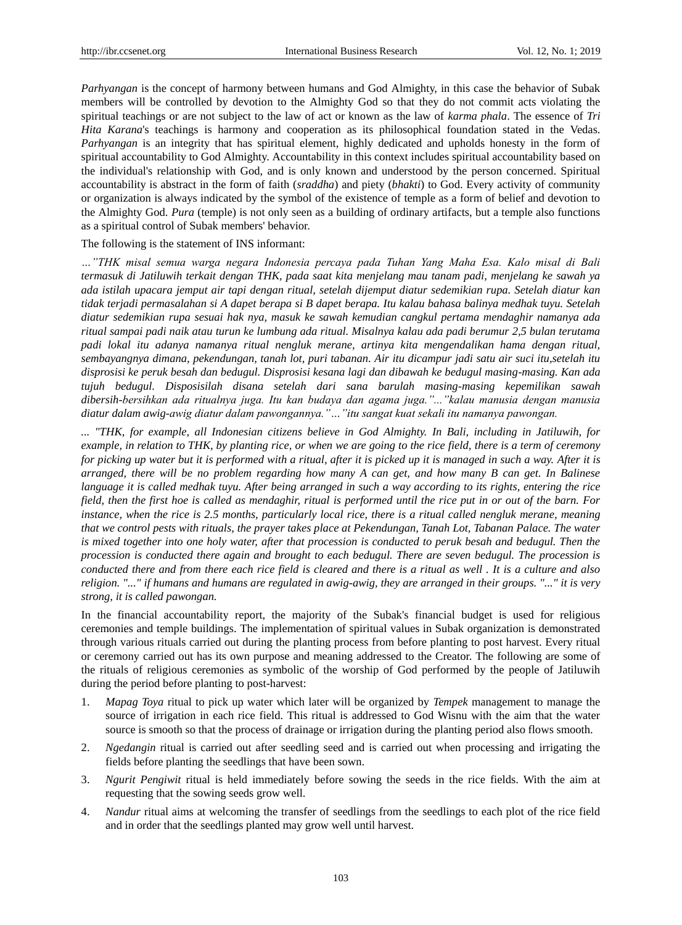*Parhyangan* is the concept of harmony between humans and God Almighty, in this case the behavior of Subak members will be controlled by devotion to the Almighty God so that they do not commit acts violating the spiritual teachings or are not subject to the law of act or known as the law of *karma phala*. The essence of *Tri Hita Karana*'s teachings is harmony and cooperation as its philosophical foundation stated in the Vedas. *Parhyangan* is an integrity that has spiritual element, highly dedicated and upholds honesty in the form of spiritual accountability to God Almighty. Accountability in this context includes spiritual accountability based on the individual's relationship with God, and is only known and understood by the person concerned. Spiritual accountability is abstract in the form of faith (*sraddha*) and piety (*bhakti*) to God. Every activity of community or organization is always indicated by the symbol of the existence of temple as a form of belief and devotion to the Almighty God. *Pura* (temple) is not only seen as a building of ordinary artifacts, but a temple also functions as a spiritual control of Subak members' behavior.

## The following is the statement of INS informant:

*…"THK misal semua warga negara Indonesia percaya pada Tuhan Yang Maha Esa. Kalo misal di Bali termasuk di Jatiluwih terkait dengan THK, pada saat kita menjelang mau tanam padi, menjelang ke sawah ya ada istilah upacara jemput air tapi dengan ritual, setelah dijemput diatur sedemikian rupa. Setelah diatur kan tidak terjadi permasalahan si A dapet berapa si B dapet berapa. Itu kalau bahasa balinya medhak tuyu. Setelah diatur sedemikian rupa sesuai hak nya, masuk ke sawah kemudian cangkul pertama mendaghir namanya ada ritual sampai padi naik atau turun ke lumbung ada ritual. Misalnya kalau ada padi berumur 2,5 bulan terutama padi lokal itu adanya namanya ritual nengluk merane, artinya kita mengendalikan hama dengan ritual, sembayangnya dimana, pekendungan, tanah lot, puri tabanan. Air itu dicampur jadi satu air suci itu,setelah itu disprosisi ke peruk besah dan bedugul. Disprosisi kesana lagi dan dibawah ke bedugul masing-masing. Kan ada tujuh bedugul. Disposisilah disana setelah dari sana barulah masing-masing kepemilikan sawah dibersih-bersihkan ada ritualnya juga. Itu kan budaya dan agama juga."..."kalau manusia dengan manusia diatur dalam awig-awig diatur dalam pawongannya."…"itu sangat kuat sekali itu namanya pawongan.*

*... "THK, for example, all Indonesian citizens believe in God Almighty. In Bali, including in Jatiluwih, for example, in relation to THK, by planting rice, or when we are going to the rice field, there is a term of ceremony for picking up water but it is performed with a ritual, after it is picked up it is managed in such a way. After it is arranged, there will be no problem regarding how many A can get, and how many B can get. In Balinese language it is called medhak tuyu. After being arranged in such a way according to its rights, entering the rice field, then the first hoe is called as mendaghir, ritual is performed until the rice put in or out of the barn. For instance, when the rice is 2.5 months, particularly local rice, there is a ritual called nengluk merane, meaning that we control pests with rituals, the prayer takes place at Pekendungan, Tanah Lot, Tabanan Palace. The water is mixed together into one holy water, after that procession is conducted to peruk besah and bedugul. Then the procession is conducted there again and brought to each bedugul. There are seven bedugul. The procession is conducted there and from there each rice field is cleared and there is a ritual as well . It is a culture and also religion. "..." if humans and humans are regulated in awig-awig, they are arranged in their groups. "..." it is very strong, it is called pawongan.*

In the financial accountability report, the majority of the Subak's financial budget is used for religious ceremonies and temple buildings. The implementation of spiritual values in Subak organization is demonstrated through various rituals carried out during the planting process from before planting to post harvest. Every ritual or ceremony carried out has its own purpose and meaning addressed to the Creator. The following are some of the rituals of religious ceremonies as symbolic of the worship of God performed by the people of Jatiluwih during the period before planting to post-harvest:

- 1. *Mapag Toya* ritual to pick up water which later will be organized by *Tempek* management to manage the source of irrigation in each rice field. This ritual is addressed to God Wisnu with the aim that the water source is smooth so that the process of drainage or irrigation during the planting period also flows smooth.
- 2. *Ngedangin* ritual is carried out after seedling seed and is carried out when processing and irrigating the fields before planting the seedlings that have been sown.
- 3. *Ngurit Pengiwit* ritual is held immediately before sowing the seeds in the rice fields. With the aim at requesting that the sowing seeds grow well.
- 4. *Nandur* ritual aims at welcoming the transfer of seedlings from the seedlings to each plot of the rice field and in order that the seedlings planted may grow well until harvest.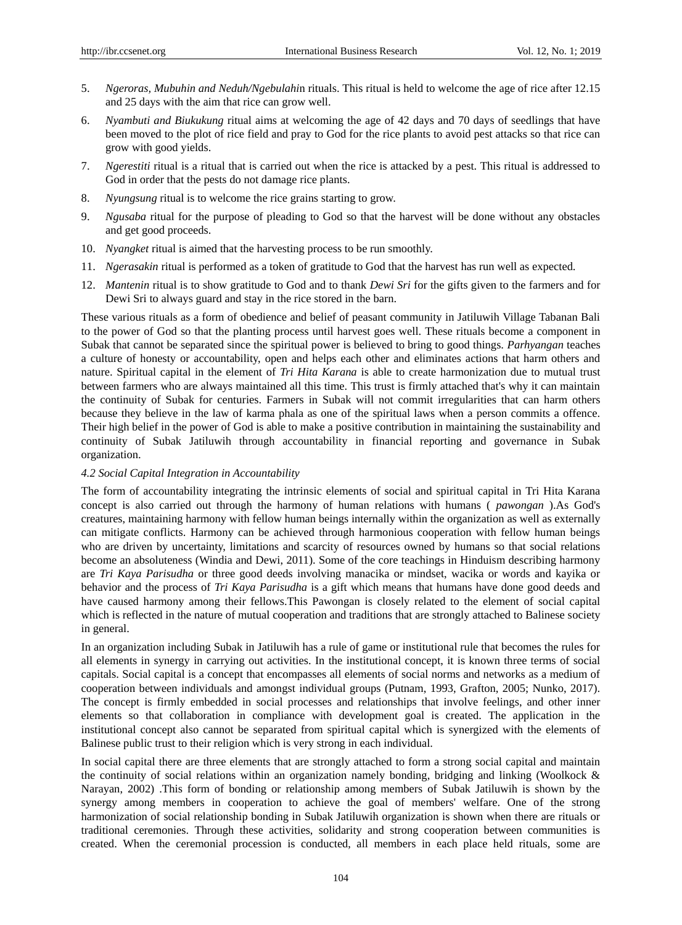- 5. *Ngeroras, Mubuhin and Neduh/Ngebulahi*n rituals. This ritual is held to welcome the age of rice after 12.15 and 25 days with the aim that rice can grow well.
- 6. *Nyambuti and Biukukung* ritual aims at welcoming the age of 42 days and 70 days of seedlings that have been moved to the plot of rice field and pray to God for the rice plants to avoid pest attacks so that rice can grow with good yields.
- 7. *Ngerestiti* ritual is a ritual that is carried out when the rice is attacked by a pest. This ritual is addressed to God in order that the pests do not damage rice plants.
- 8. *Nyungsung* ritual is to welcome the rice grains starting to grow.
- 9. *Ngusaba* ritual for the purpose of pleading to God so that the harvest will be done without any obstacles and get good proceeds.
- 10. *Nyangket* ritual is aimed that the harvesting process to be run smoothly.
- 11. *Ngerasakin* ritual is performed as a token of gratitude to God that the harvest has run well as expected.
- 12. *Mantenin* ritual is to show gratitude to God and to thank *Dewi Sri* for the gifts given to the farmers and for Dewi Sri to always guard and stay in the rice stored in the barn.

These various rituals as a form of obedience and belief of peasant community in Jatiluwih Village Tabanan Bali to the power of God so that the planting process until harvest goes well. These rituals become a component in Subak that cannot be separated since the spiritual power is believed to bring to good things. *Parhyangan* teaches a culture of honesty or accountability, open and helps each other and eliminates actions that harm others and nature. Spiritual capital in the element of *Tri Hita Karana* is able to create harmonization due to mutual trust between farmers who are always maintained all this time. This trust is firmly attached that's why it can maintain the continuity of Subak for centuries. Farmers in Subak will not commit irregularities that can harm others because they believe in the law of karma phala as one of the spiritual laws when a person commits a offence. Their high belief in the power of God is able to make a positive contribution in maintaining the sustainability and continuity of Subak Jatiluwih through accountability in financial reporting and governance in Subak organization.

#### *4.2 Social Capital Integration in Accountability*

The form of accountability integrating the intrinsic elements of social and spiritual capital in Tri Hita Karana concept is also carried out through the harmony of human relations with humans ( *pawongan* ).As God's creatures, maintaining harmony with fellow human beings internally within the organization as well as externally can mitigate conflicts. Harmony can be achieved through harmonious cooperation with fellow human beings who are driven by uncertainty, limitations and scarcity of resources owned by humans so that social relations become an absoluteness (Windia and Dewi, 2011). Some of the core teachings in Hinduism describing harmony are *Tri Kaya Parisudha* or three good deeds involving manacika or mindset, wacika or words and kayika or behavior and the process of *Tri Kaya Parisudha* is a gift which means that humans have done good deeds and have caused harmony among their fellows.This Pawongan is closely related to the element of social capital which is reflected in the nature of mutual cooperation and traditions that are strongly attached to Balinese society in general.

In an organization including Subak in Jatiluwih has a rule of game or institutional rule that becomes the rules for all elements in synergy in carrying out activities. In the institutional concept, it is known three terms of social capitals. Social capital is a concept that encompasses all elements of social norms and networks as a medium of cooperation between individuals and amongst individual groups (Putnam, 1993, Grafton, 2005; Nunko, 2017). The concept is firmly embedded in social processes and relationships that involve feelings, and other inner elements so that collaboration in compliance with development goal is created. The application in the institutional concept also cannot be separated from spiritual capital which is synergized with the elements of Balinese public trust to their religion which is very strong in each individual.

In social capital there are three elements that are strongly attached to form a strong social capital and maintain the continuity of social relations within an organization namely bonding, bridging and linking (Woolkock & Narayan, 2002) .This form of bonding or relationship among members of Subak Jatiluwih is shown by the synergy among members in cooperation to achieve the goal of members' welfare. One of the strong harmonization of social relationship bonding in Subak Jatiluwih organization is shown when there are rituals or traditional ceremonies. Through these activities, solidarity and strong cooperation between communities is created. When the ceremonial procession is conducted, all members in each place held rituals, some are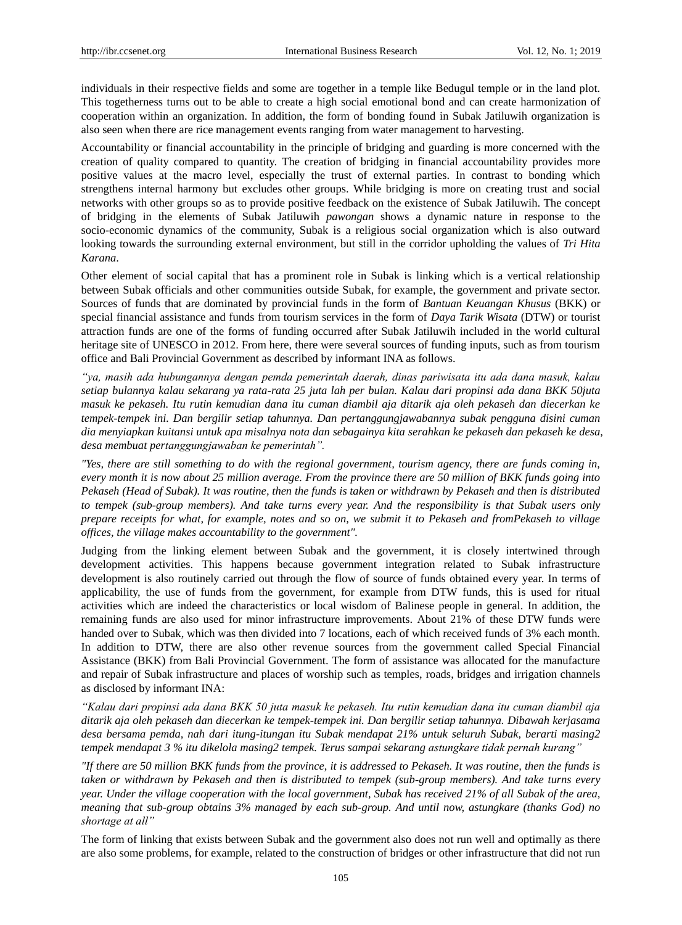individuals in their respective fields and some are together in a temple like Bedugul temple or in the land plot. This togetherness turns out to be able to create a high social emotional bond and can create harmonization of cooperation within an organization. In addition, the form of bonding found in Subak Jatiluwih organization is also seen when there are rice management events ranging from water management to harvesting.

Accountability or financial accountability in the principle of bridging and guarding is more concerned with the creation of quality compared to quantity. The creation of bridging in financial accountability provides more positive values at the macro level, especially the trust of external parties. In contrast to bonding which strengthens internal harmony but excludes other groups. While bridging is more on creating trust and social networks with other groups so as to provide positive feedback on the existence of Subak Jatiluwih. The concept of bridging in the elements of Subak Jatiluwih *pawongan* shows a dynamic nature in response to the socio-economic dynamics of the community, Subak is a religious social organization which is also outward looking towards the surrounding external environment, but still in the corridor upholding the values of *Tri Hita Karana*.

Other element of social capital that has a prominent role in Subak is linking which is a vertical relationship between Subak officials and other communities outside Subak, for example, the government and private sector. Sources of funds that are dominated by provincial funds in the form of *Bantuan Keuangan Khusus* (BKK) or special financial assistance and funds from tourism services in the form of *Daya Tarik Wisata* (DTW) or tourist attraction funds are one of the forms of funding occurred after Subak Jatiluwih included in the world cultural heritage site of UNESCO in 2012. From here, there were several sources of funding inputs, such as from tourism office and Bali Provincial Government as described by informant INA as follows.

*"ya, masih ada hubungannya dengan pemda pemerintah daerah, dinas pariwisata itu ada dana masuk, kalau setiap bulannya kalau sekarang ya rata-rata 25 juta lah per bulan. Kalau dari propinsi ada dana BKK 50juta masuk ke pekaseh. Itu rutin kemudian dana itu cuman diambil aja ditarik aja oleh pekaseh dan diecerkan ke tempek-tempek ini. Dan bergilir setiap tahunnya. Dan pertanggungjawabannya subak pengguna disini cuman dia menyiapkan kuitansi untuk apa misalnya nota dan sebagainya kita serahkan ke pekaseh dan pekaseh ke desa, desa membuat pertanggungjawaban ke pemerintah".*

*"Yes, there are still something to do with the regional government, tourism agency, there are funds coming in, every month it is now about 25 million average. From the province there are 50 million of BKK funds going into Pekaseh (Head of Subak). It was routine, then the funds is taken or withdrawn by Pekaseh and then is distributed to tempek (sub-group members). And take turns every year. And the responsibility is that Subak users only prepare receipts for what, for example, notes and so on, we submit it to Pekaseh and fromPekaseh to village offices, the village makes accountability to the government".*

Judging from the linking element between Subak and the government, it is closely intertwined through development activities. This happens because government integration related to Subak infrastructure development is also routinely carried out through the flow of source of funds obtained every year. In terms of applicability, the use of funds from the government, for example from DTW funds, this is used for ritual activities which are indeed the characteristics or local wisdom of Balinese people in general. In addition, the remaining funds are also used for minor infrastructure improvements. About 21% of these DTW funds were handed over to Subak, which was then divided into 7 locations, each of which received funds of 3% each month. In addition to DTW, there are also other revenue sources from the government called Special Financial Assistance (BKK) from Bali Provincial Government. The form of assistance was allocated for the manufacture and repair of Subak infrastructure and places of worship such as temples, roads, bridges and irrigation channels as disclosed by informant INA:

*"Kalau dari propinsi ada dana BKK 50 juta masuk ke pekaseh. Itu rutin kemudian dana itu cuman diambil aja ditarik aja oleh pekaseh dan diecerkan ke tempek-tempek ini. Dan bergilir setiap tahunnya. Dibawah kerjasama desa bersama pemda, nah dari itung-itungan itu Subak mendapat 21% untuk seluruh Subak, berarti masing2 tempek mendapat 3 % itu dikelola masing2 tempek. Terus sampai sekarang astungkare tidak pernah kurang"*

*"If there are 50 million BKK funds from the province, it is addressed to Pekaseh. It was routine, then the funds is taken or withdrawn by Pekaseh and then is distributed to tempek (sub-group members). And take turns every year. Under the village cooperation with the local government, Subak has received 21% of all Subak of the area, meaning that sub-group obtains 3% managed by each sub-group. And until now, astungkare (thanks God) no shortage at all"*

The form of linking that exists between Subak and the government also does not run well and optimally as there are also some problems, for example, related to the construction of bridges or other infrastructure that did not run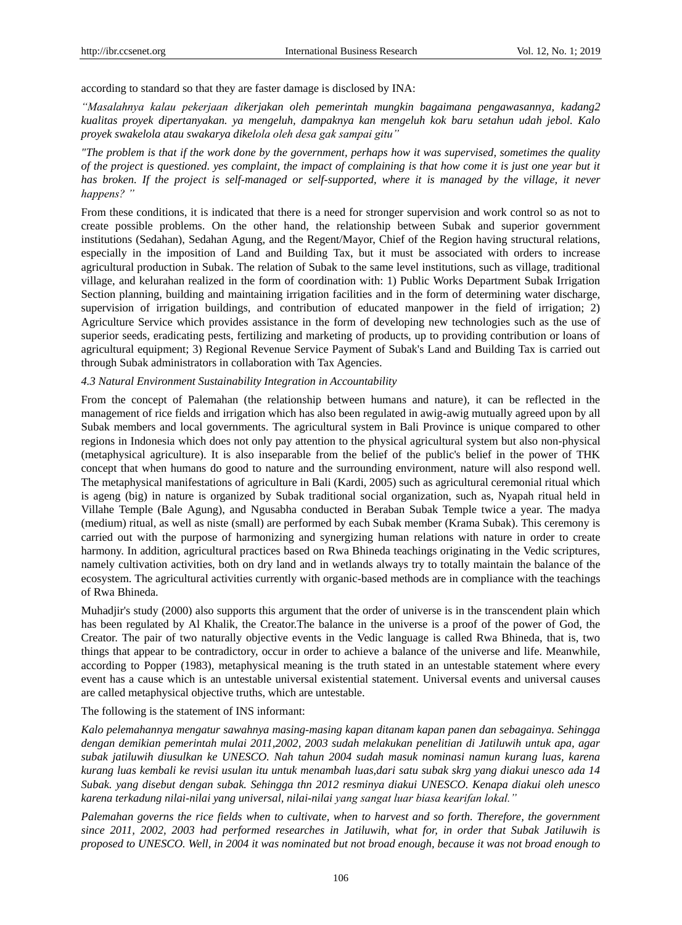according to standard so that they are faster damage is disclosed by INA:

*"Masalahnya kalau pekerjaan dikerjakan oleh pemerintah mungkin bagaimana pengawasannya, kadang2 kualitas proyek dipertanyakan. ya mengeluh, dampaknya kan mengeluh kok baru setahun udah jebol. Kalo proyek swakelola atau swakarya dikelola oleh desa gak sampai gitu"*

*"The problem is that if the work done by the government, perhaps how it was supervised, sometimes the quality of the project is questioned, yes complaint, the impact of complaining is that how come it is just one year but it has broken. If the project is self-managed or self-supported, where it is managed by the village, it never happens? "*

From these conditions, it is indicated that there is a need for stronger supervision and work control so as not to create possible problems. On the other hand, the relationship between Subak and superior government institutions (Sedahan), Sedahan Agung, and the Regent/Mayor, Chief of the Region having structural relations, especially in the imposition of Land and Building Tax, but it must be associated with orders to increase agricultural production in Subak. The relation of Subak to the same level institutions, such as village, traditional village, and kelurahan realized in the form of coordination with: 1) Public Works Department Subak Irrigation Section planning, building and maintaining irrigation facilities and in the form of determining water discharge, supervision of irrigation buildings, and contribution of educated manpower in the field of irrigation; 2) Agriculture Service which provides assistance in the form of developing new technologies such as the use of superior seeds, eradicating pests, fertilizing and marketing of products, up to providing contribution or loans of agricultural equipment; 3) Regional Revenue Service Payment of Subak's Land and Building Tax is carried out through Subak administrators in collaboration with Tax Agencies.

#### *4.3 Natural Environment Sustainability Integration in Accountability*

From the concept of Palemahan (the relationship between humans and nature), it can be reflected in the management of rice fields and irrigation which has also been regulated in awig-awig mutually agreed upon by all Subak members and local governments. The agricultural system in Bali Province is unique compared to other regions in Indonesia which does not only pay attention to the physical agricultural system but also non-physical (metaphysical agriculture). It is also inseparable from the belief of the public's belief in the power of THK concept that when humans do good to nature and the surrounding environment, nature will also respond well. The metaphysical manifestations of agriculture in Bali (Kardi, 2005) such as agricultural ceremonial ritual which is ageng (big) in nature is organized by Subak traditional social organization, such as, Nyapah ritual held in Villahe Temple (Bale Agung), and Ngusabha conducted in Beraban Subak Temple twice a year. The madya (medium) ritual, as well as niste (small) are performed by each Subak member (Krama Subak). This ceremony is carried out with the purpose of harmonizing and synergizing human relations with nature in order to create harmony. In addition, agricultural practices based on Rwa Bhineda teachings originating in the Vedic scriptures, namely cultivation activities, both on dry land and in wetlands always try to totally maintain the balance of the ecosystem. The agricultural activities currently with organic-based methods are in compliance with the teachings of Rwa Bhineda.

Muhadjir's study (2000) also supports this argument that the order of universe is in the transcendent plain which has been regulated by Al Khalik, the Creator.The balance in the universe is a proof of the power of God, the Creator. The pair of two naturally objective events in the Vedic language is called Rwa Bhineda, that is, two things that appear to be contradictory, occur in order to achieve a balance of the universe and life. Meanwhile, according to Popper (1983), metaphysical meaning is the truth stated in an untestable statement where every event has a cause which is an untestable universal existential statement. Universal events and universal causes are called metaphysical objective truths, which are untestable.

The following is the statement of INS informant:

*Kalo pelemahannya mengatur sawahnya masing-masing kapan ditanam kapan panen dan sebagainya. Sehingga dengan demikian pemerintah mulai 2011,2002, 2003 sudah melakukan penelitian di Jatiluwih untuk apa, agar subak jatiluwih diusulkan ke UNESCO. Nah tahun 2004 sudah masuk nominasi namun kurang luas, karena kurang luas kembali ke revisi usulan itu untuk menambah luas,dari satu subak skrg yang diakui unesco ada 14 Subak. yang disebut dengan subak. Sehingga thn 2012 resminya diakui UNESCO. Kenapa diakui oleh unesco karena terkadung nilai-nilai yang universal, nilai-nilai yang sangat luar biasa kearifan lokal."*

*Palemahan governs the rice fields when to cultivate, when to harvest and so forth. Therefore, the government since 2011, 2002, 2003 had performed researches in Jatiluwih, what for, in order that Subak Jatiluwih is proposed to UNESCO. Well, in 2004 it was nominated but not broad enough, because it was not broad enough to*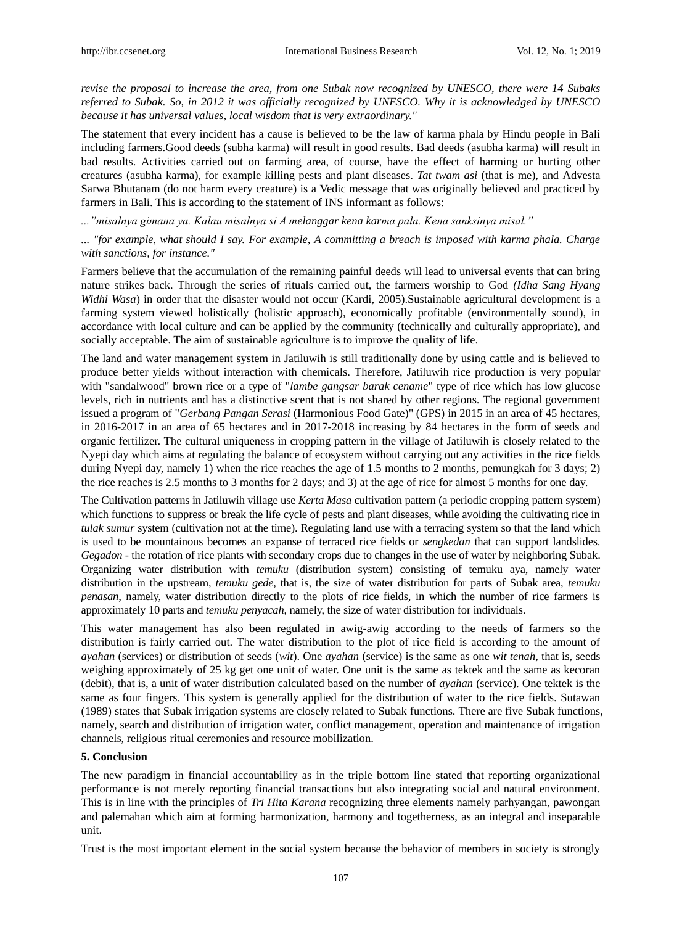*revise the proposal to increase the area, from one Subak now recognized by UNESCO, there were 14 Subaks referred to Subak. So, in 2012 it was officially recognized by UNESCO. Why it is acknowledged by UNESCO because it has universal values, local wisdom that is very extraordinary."*

The statement that every incident has a cause is believed to be the law of karma phala by Hindu people in Bali including farmers.Good deeds (subha karma) will result in good results. Bad deeds (asubha karma) will result in bad results. Activities carried out on farming area, of course, have the effect of harming or hurting other creatures (asubha karma), for example killing pests and plant diseases. *Tat twam asi* (that is me), and Advesta Sarwa Bhutanam (do not harm every creature) is a Vedic message that was originally believed and practiced by farmers in Bali. This is according to the statement of INS informant as follows:

*..."misalnya gimana ya. Kalau misalnya si A melanggar kena karma pala. Kena sanksinya misal."*

*... "for example, what should I say. For example, A committing a breach is imposed with karma phala. Charge with sanctions, for instance."*

Farmers believe that the accumulation of the remaining painful deeds will lead to universal events that can bring nature strikes back. Through the series of rituals carried out, the farmers worship to God *(Idha Sang Hyang Widhi Wasa*) in order that the disaster would not occur (Kardi, 2005).Sustainable agricultural development is a farming system viewed holistically (holistic approach), economically profitable (environmentally sound), in accordance with local culture and can be applied by the community (technically and culturally appropriate), and socially acceptable. The aim of sustainable agriculture is to improve the quality of life.

The land and water management system in Jatiluwih is still traditionally done by using cattle and is believed to produce better yields without interaction with chemicals. Therefore, Jatiluwih rice production is very popular with "sandalwood" brown rice or a type of "*lambe gangsar barak cename*" type of rice which has low glucose levels, rich in nutrients and has a distinctive scent that is not shared by other regions. The regional government issued a program of "*Gerbang Pangan Serasi* (Harmonious Food Gate)" (GPS) in 2015 in an area of 45 hectares, in 2016-2017 in an area of 65 hectares and in 2017-2018 increasing by 84 hectares in the form of seeds and organic fertilizer. The cultural uniqueness in cropping pattern in the village of Jatiluwih is closely related to the Nyepi day which aims at regulating the balance of ecosystem without carrying out any activities in the rice fields during Nyepi day, namely 1) when the rice reaches the age of 1.5 months to 2 months, pemungkah for 3 days; 2) the rice reaches is 2.5 months to 3 months for 2 days; and 3) at the age of rice for almost 5 months for one day.

The Cultivation patterns in Jatiluwih village use *Kerta Masa* cultivation pattern (a periodic cropping pattern system) which functions to suppress or break the life cycle of pests and plant diseases, while avoiding the cultivating rice in *tulak sumur* system (cultivation not at the time). Regulating land use with a terracing system so that the land which is used to be mountainous becomes an expanse of terraced rice fields or *sengkedan* that can support landslides. *Gegadon* - the rotation of rice plants with secondary crops due to changes in the use of water by neighboring Subak. Organizing water distribution with *temuku* (distribution system) consisting of temuku aya, namely water distribution in the upstream, *temuku gede*, that is, the size of water distribution for parts of Subak area, *temuku penasan*, namely, water distribution directly to the plots of rice fields, in which the number of rice farmers is approximately 10 parts and *temuku penyacah*, namely, the size of water distribution for individuals.

This water management has also been regulated in awig-awig according to the needs of farmers so the distribution is fairly carried out. The water distribution to the plot of rice field is according to the amount of *ayahan* (services) or distribution of seeds (*wit*). One *ayahan* (service) is the same as one *wit tenah*, that is, seeds weighing approximately of 25 kg get one unit of water. One unit is the same as tektek and the same as kecoran (debit), that is, a unit of water distribution calculated based on the number of *ayahan* (service). One tektek is the same as four fingers. This system is generally applied for the distribution of water to the rice fields. Sutawan (1989) states that Subak irrigation systems are closely related to Subak functions. There are five Subak functions, namely, search and distribution of irrigation water, conflict management, operation and maintenance of irrigation channels, religious ritual ceremonies and resource mobilization.

#### **5. Conclusion**

The new paradigm in financial accountability as in the triple bottom line stated that reporting organizational performance is not merely reporting financial transactions but also integrating social and natural environment. This is in line with the principles of *Tri Hita Karana* recognizing three elements namely parhyangan, pawongan and palemahan which aim at forming harmonization, harmony and togetherness, as an integral and inseparable unit.

Trust is the most important element in the social system because the behavior of members in society is strongly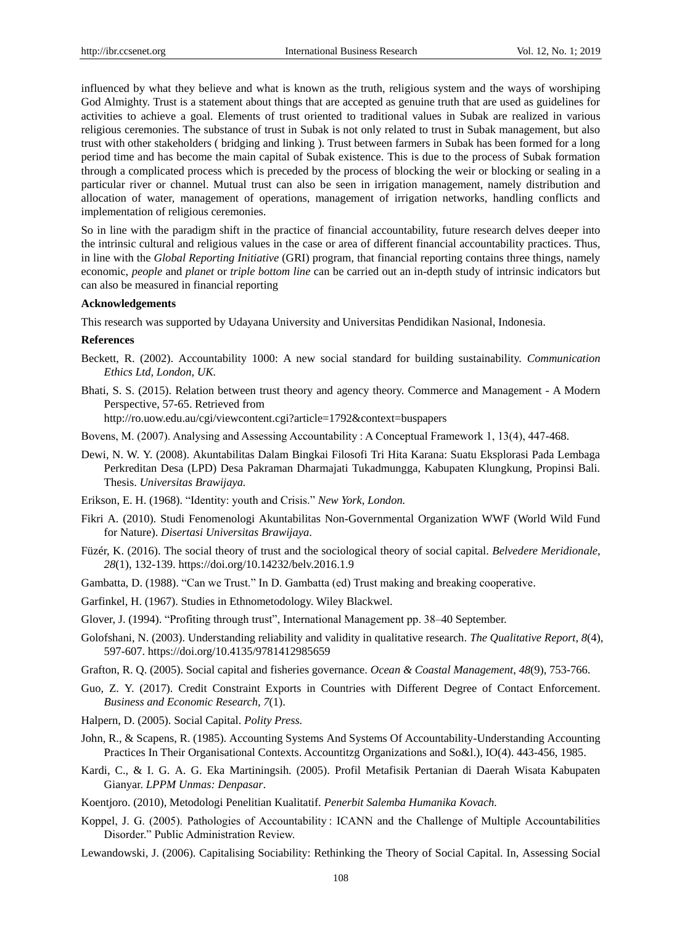influenced by what they believe and what is known as the truth, religious system and the ways of worshiping God Almighty. Trust is a statement about things that are accepted as genuine truth that are used as guidelines for activities to achieve a goal. Elements of trust oriented to traditional values in Subak are realized in various religious ceremonies. The substance of trust in Subak is not only related to trust in Subak management, but also trust with other stakeholders ( bridging and linking ). Trust between farmers in Subak has been formed for a long period time and has become the main capital of Subak existence. This is due to the process of Subak formation through a complicated process which is preceded by the process of blocking the weir or blocking or sealing in a particular river or channel. Mutual trust can also be seen in irrigation management, namely distribution and allocation of water, management of operations, management of irrigation networks, handling conflicts and implementation of religious ceremonies.

So in line with the paradigm shift in the practice of financial accountability, future research delves deeper into the intrinsic cultural and religious values in the case or area of different financial accountability practices. Thus, in line with the *Global Reporting Initiative* (GRI) program, that financial reporting contains three things, namely economic, *people* and *planet* or *triple bottom line* can be carried out an in-depth study of intrinsic indicators but can also be measured in financial reporting

## **Acknowledgements**

This research was supported by Udayana University and Universitas Pendidikan Nasional, Indonesia.

#### **References**

- Beckett, R. (2002). Accountability 1000: A new social standard for building sustainability. *Communication Ethics Ltd, London, UK.*
- Bhati, S. S. (2015). Relation between trust theory and agency theory. Commerce and Management A Modern Perspective, 57-65. Retrieved from

http://ro.uow.edu.au/cgi/viewcontent.cgi?article=1792&context=buspapers

Bovens, M. (2007). Analysing and Assessing Accountability : A Conceptual Framework 1, 13(4), 447-468.

Dewi, N. W. Y. (2008). Akuntabilitas Dalam Bingkai Filosofi Tri Hita Karana: Suatu Eksplorasi Pada Lembaga Perkreditan Desa (LPD) Desa Pakraman Dharmajati Tukadmungga, Kabupaten Klungkung, Propinsi Bali. Thesis. *Universitas Brawijaya.*

Erikson, E. H. (1968). "Identity: youth and Crisis." *New York, London.*

- Fikri A. (2010). Studi Fenomenologi Akuntabilitas Non-Governmental Organization WWF (World Wild Fund for Nature). *Disertasi Universitas Brawijaya*.
- Füzér, K. (2016). The social theory of trust and the sociological theory of social capital. *Belvedere Meridionale*, *28*(1), 132-139. https://doi.org/10.14232/belv.2016.1.9
- Gambatta, D. (1988). "Can we Trust." In D. Gambatta (ed) Trust making and breaking cooperative.
- Garfinkel, H. (1967). Studies in Ethnometodology. Wiley Blackwel.
- Glover, J. (1994). "Profiting through trust", International Management pp. 38–40 September.
- Golofshani, N. (2003). Understanding reliability and validity in qualitative research. *The Qualitative Report*, *8*(4), 597-607. https://doi.org/10.4135/9781412985659
- Grafton, R. Q. (2005). Social capital and fisheries governance. *Ocean & Coastal Management*, *48*(9), 753-766.
- Guo, Z. Y. (2017). Credit Constraint Exports in Countries with Different Degree of Contact Enforcement. *Business and Economic Research, 7*(1).
- Halpern, D. (2005). Social Capital. *Polity Press.*
- John, R., & Scapens, R. (1985). Accounting Systems And Systems Of Accountability-Understanding Accounting Practices In Their Organisational Contexts. Accountitzg Organizations and So&l.), IO(4). 443-456, 1985.
- Kardi, C., & I. G. A. G. Eka Martiningsih. (2005). Profil Metafisik Pertanian di Daerah Wisata Kabupaten Gianyar. *LPPM Unmas: Denpasar*.
- Koentjoro. (2010), Metodologi Penelitian Kualitatif. *Penerbit Salemba Humanika Kovach.*
- Koppel, J. G. (2005). Pathologies of Accountability : ICANN and the Challenge of Multiple Accountabilities Disorder." Public Administration Review.
- Lewandowski, J. (2006). Capitalising Sociability: Rethinking the Theory of Social Capital. In, Assessing Social